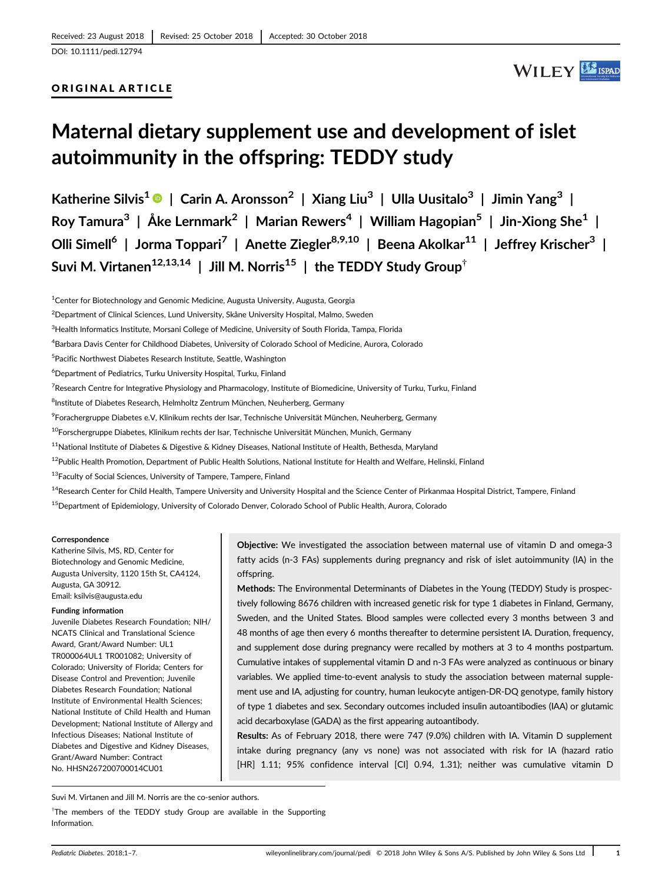#### ORIGINAL ARTICLE

## WILEY SERAD

# Maternal dietary supplement use and development of islet autoimmunity in the offspring: TEDDY study

Katherine Silvis<sup>1</sup>  $\bigcirc$  | Carin A. Aronsson<sup>2</sup> | Xiang Liu<sup>3</sup> | Ulla Uusitalo<sup>3</sup> | Jimin Yang<sup>3</sup> | Roy Tamura<sup>3</sup> | Åke Lernmark<sup>2</sup> | Marian Rewers<sup>4</sup> | William Hagopian<sup>5</sup> | Jin-Xiong She<sup>1</sup> | Olli Simell<sup>6</sup> | Jorma Toppari<sup>7</sup> | Anette Ziegler<sup>8,9,10</sup> | Beena Akolkar<sup>11</sup> | Jeffrey Krischer<sup>3</sup> | Suvi M. Virtanen<sup>12,13,14</sup> | Jill M. Norris<sup>15</sup> | the TEDDY Study Group<sup>†</sup>

<sup>1</sup>Center for Biotechnology and Genomic Medicine, Augusta University, Augusta, Georgia

<sup>3</sup>Health Informatics Institute, Morsani College of Medicine, University of South Florida, Tampa, Florida

5 Pacific Northwest Diabetes Research Institute, Seattle, Washington

6 Department of Pediatrics, Turku University Hospital, Turku, Finland

<sup>7</sup>Research Centre for Integrative Physiology and Pharmacology, Institute of Biomedicine, University of Turku, Turku, Finland

<sup>8</sup>Institute of Diabetes Research, Helmholtz Zentrum München, Neuherberg, Germany

9 Forachergruppe Diabetes e.V, Klinikum rechts der Isar, Technische Universität München, Neuherberg, Germany

<sup>10</sup>Forschergruppe Diabetes, Klinikum rechts der Isar, Technische Universität München, Munich, Germany

<sup>11</sup>National Institute of Diabetes & Digestive & Kidney Diseases, National Institute of Health, Bethesda, Maryland

<sup>12</sup>Public Health Promotion, Department of Public Health Solutions, National Institute for Health and Welfare, Helinski, Finland

<sup>13</sup>Faculty of Social Sciences, University of Tampere, Tampere, Finland

<sup>14</sup>Research Center for Child Health, Tampere University and University Hospital and the Science Center of Pirkanmaa Hospital District, Tampere, Finland

<sup>15</sup> Department of Epidemiology, University of Colorado Denver, Colorado School of Public Health, Aurora, Colorado

#### **Correspondence**

Katherine Silvis, MS, RD, Center for Biotechnology and Genomic Medicine, Augusta University, 1120 15th St, CA4124, Augusta, GA 30912. Email: [ksilvis@augusta.edu](mailto:ksilvis@augusta.edu)

#### Funding information

Juvenile Diabetes Research Foundation; NIH/ NCATS Clinical and Translational Science Award, Grant/Award Number: UL1 TR000064UL1 TR001082; University of Colorado; University of Florida; Centers for Disease Control and Prevention; Juvenile Diabetes Research Foundation; National Institute of Environmental Health Sciences; National Institute of Child Health and Human Development; National Institute of Allergy and Infectious Diseases; National Institute of Diabetes and Digestive and Kidney Diseases, Grant/Award Number: Contract No. HHSN267200700014CU01

Objective: We investigated the association between maternal use of vitamin D and omega-3 fatty acids (n-3 FAs) supplements during pregnancy and risk of islet autoimmunity (IA) in the offspring.

Methods: The Environmental Determinants of Diabetes in the Young (TEDDY) Study is prospectively following 8676 children with increased genetic risk for type 1 diabetes in Finland, Germany, Sweden, and the United States. Blood samples were collected every 3 months between 3 and 48 months of age then every 6 months thereafter to determine persistent IA. Duration, frequency, and supplement dose during pregnancy were recalled by mothers at 3 to 4 months postpartum. Cumulative intakes of supplemental vitamin D and n-3 FAs were analyzed as continuous or binary variables. We applied time-to-event analysis to study the association between maternal supplement use and IA, adjusting for country, human leukocyte antigen-DR-DQ genotype, family history of type 1 diabetes and sex. Secondary outcomes included insulin autoantibodies (IAA) or glutamic acid decarboxylase (GADA) as the first appearing autoantibody.

Results: As of February 2018, there were 747 (9.0%) children with IA. Vitamin D supplement intake during pregnancy (any vs none) was not associated with risk for IA (hazard ratio [HR] 1.11; 95% confidence interval [CI] 0.94, 1.31); neither was cumulative vitamin D

Suvi M. Virtanen and Jill M. Norris are the co-senior authors.

<sup>†</sup>The members of the TEDDY study Group are available in the Supporting Information.

<sup>2</sup> Department of Clinical Sciences, Lund University, Skåne University Hospital, Malmo, Sweden

<sup>4</sup> Barbara Davis Center for Childhood Diabetes, University of Colorado School of Medicine, Aurora, Colorado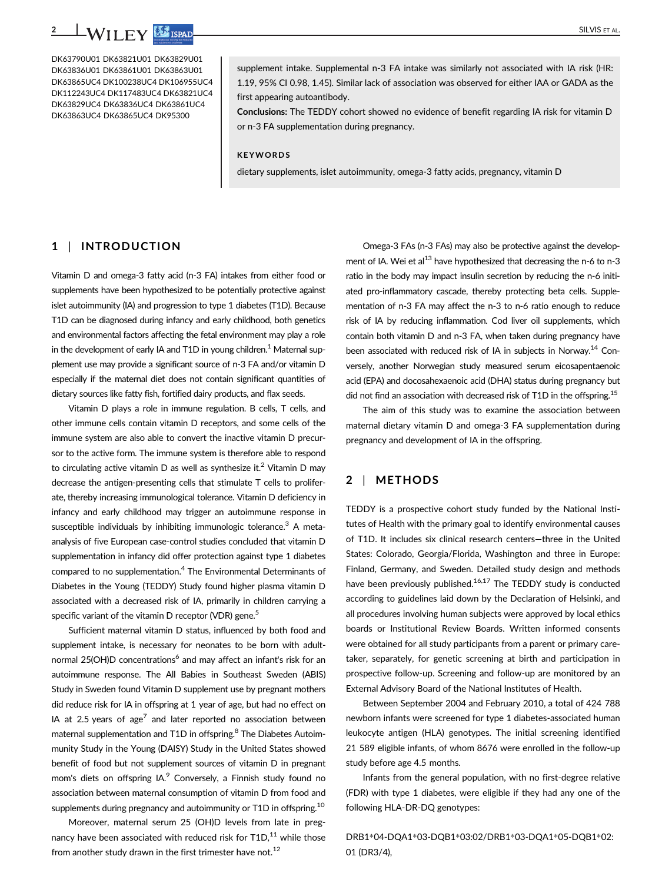DK63790U01 DK63821U01 DK63829U01 DK63836U01 DK63861U01 DK63863U01 DK63865UC4 DK100238UC4 DK106955UC4 DK112243UC4 DK117483UC4 DK63821UC4 DK63829UC4 DK63836UC4 DK63861UC4 DK63863UC4 DK63865UC4 DK95300

supplement intake. Supplemental n-3 FA intake was similarly not associated with IA risk (HR: 1.19, 95% CI 0.98, 1.45). Similar lack of association was observed for either IAA or GADA as the first appearing autoantibody.

Conclusions: The TEDDY cohort showed no evidence of benefit regarding IA risk for vitamin D or n-3 FA supplementation during pregnancy.

#### **KEYWORDS**

dietary supplements, islet autoimmunity, omega-3 fatty acids, pregnancy, vitamin D

#### 1 | INTRODUCTION

Vitamin D and omega-3 fatty acid (n-3 FA) intakes from either food or supplements have been hypothesized to be potentially protective against islet autoimmunity (IA) and progression to type 1 diabetes (T1D). Because T1D can be diagnosed during infancy and early childhood, both genetics and environmental factors affecting the fetal environment may play a role in the development of early IA and T1D in young children.<sup>1</sup> Maternal supplement use may provide a significant source of n-3 FA and/or vitamin D especially if the maternal diet does not contain significant quantities of dietary sources like fatty fish, fortified dairy products, and flax seeds.

Vitamin D plays a role in immune regulation. B cells, T cells, and other immune cells contain vitamin D receptors, and some cells of the immune system are also able to convert the inactive vitamin D precursor to the active form. The immune system is therefore able to respond to circulating active vitamin D as well as synthesize it.<sup>2</sup> Vitamin D may decrease the antigen-presenting cells that stimulate T cells to proliferate, thereby increasing immunological tolerance. Vitamin D deficiency in infancy and early childhood may trigger an autoimmune response in susceptible individuals by inhibiting immunologic tolerance. $3$  A metaanalysis of five European case-control studies concluded that vitamin D supplementation in infancy did offer protection against type 1 diabetes compared to no supplementation.4 The Environmental Determinants of Diabetes in the Young (TEDDY) Study found higher plasma vitamin D associated with a decreased risk of IA, primarily in children carrying a specific variant of the vitamin D receptor (VDR) gene.<sup>5</sup>

Sufficient maternal vitamin D status, influenced by both food and supplement intake, is necessary for neonates to be born with adultnormal 25(OH)D concentrations<sup>6</sup> and may affect an infant's risk for an autoimmune response. The All Babies in Southeast Sweden (ABIS) Study in Sweden found Vitamin D supplement use by pregnant mothers did reduce risk for IA in offspring at 1 year of age, but had no effect on IA at 2.5 years of age<sup>7</sup> and later reported no association between maternal supplementation and T1D in offspring.<sup>8</sup> The Diabetes Autoimmunity Study in the Young (DAISY) Study in the United States showed benefit of food but not supplement sources of vitamin D in pregnant mom's diets on offspring IA.<sup>9</sup> Conversely, a Finnish study found no association between maternal consumption of vitamin D from food and supplements during pregnancy and autoimmunity or T1D in offspring.<sup>10</sup>

Moreover, maternal serum 25 (OH)D levels from late in pregnancy have been associated with reduced risk for  $T1D$ , $^{11}$  while those from another study drawn in the first trimester have not.<sup>12</sup>

Omega-3 FAs (n-3 FAs) may also be protective against the development of IA. Wei et al $^{13}$  have hypothesized that decreasing the n-6 to n-3 ratio in the body may impact insulin secretion by reducing the n-6 initiated pro-inflammatory cascade, thereby protecting beta cells. Supplementation of n-3 FA may affect the n-3 to n-6 ratio enough to reduce risk of IA by reducing inflammation. Cod liver oil supplements, which contain both vitamin D and n-3 FA, when taken during pregnancy have been associated with reduced risk of IA in subjects in Norway.<sup>14</sup> Conversely, another Norwegian study measured serum eicosapentaenoic acid (EPA) and docosahexaenoic acid (DHA) status during pregnancy but did not find an association with decreased risk of T1D in the offspring.<sup>15</sup>

The aim of this study was to examine the association between maternal dietary vitamin D and omega-3 FA supplementation during pregnancy and development of IA in the offspring.

## 2 | METHODS

TEDDY is a prospective cohort study funded by the National Institutes of Health with the primary goal to identify environmental causes of T1D. It includes six clinical research centers—three in the United States: Colorado, Georgia/Florida, Washington and three in Europe: Finland, Germany, and Sweden. Detailed study design and methods have been previously published.<sup>16,17</sup> The TEDDY study is conducted according to guidelines laid down by the Declaration of Helsinki, and all procedures involving human subjects were approved by local ethics boards or Institutional Review Boards. Written informed consents were obtained for all study participants from a parent or primary caretaker, separately, for genetic screening at birth and participation in prospective follow-up. Screening and follow-up are monitored by an External Advisory Board of the National Institutes of Health.

Between September 2004 and February 2010, a total of 424 788 newborn infants were screened for type 1 diabetes-associated human leukocyte antigen (HLA) genotypes. The initial screening identified 21 589 eligible infants, of whom 8676 were enrolled in the follow-up study before age 4.5 months.

Infants from the general population, with no first-degree relative (FDR) with type 1 diabetes, were eligible if they had any one of the following HLA-DR-DQ genotypes:

DRB1\*04-DQA1\*03-DQB1\*03:02/DRB1\*03-DQA1\*05-DQB1\*02: 01 (DR3/4),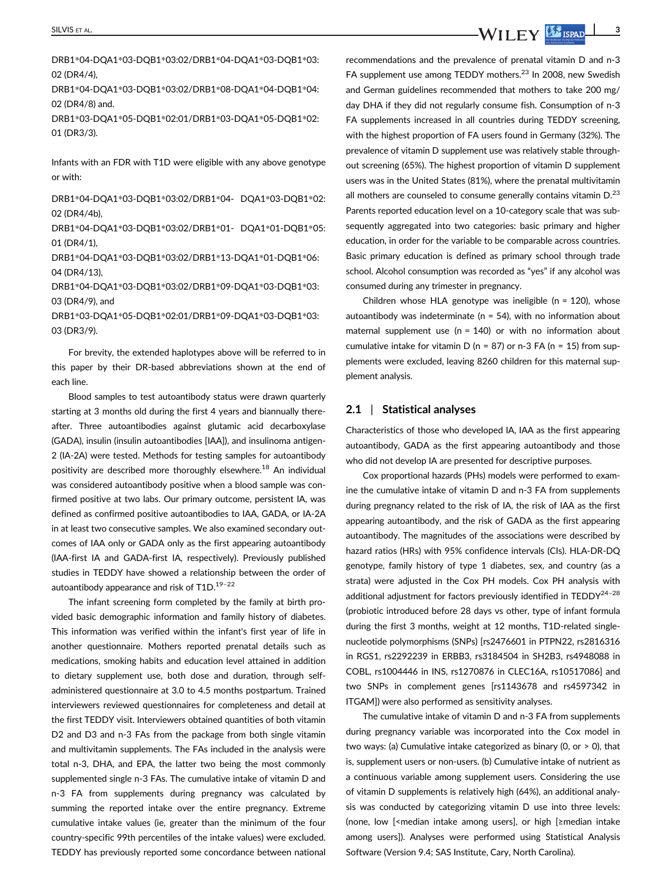DRB1\*04-DQA1\*03-DQB1\*03:02/DRB1\*04-DQA1\*03-DQB1\*03: 02 (DR4/4),

DRB1\*04-DQA1\*03-DQB1\*03:02/DRB1\*08-DQA1\*04-DQB1\*04: 02 (DR4/8) and.

DRB1\*03-DQA1\*05-DQB1\*02:01/DRB1\*03-DQA1\*05-DQB1\*02: 01 (DR3/3).

Infants with an FDR with T1D were eligible with any above genotype or with:

DRB1\*04-DQA1\*03-DQB1\*03:02/DRB1\*04- DQA1\*03-DQB1\*02: 02 (DR4/4b),

DRB1\*04-DQA1\*03-DQB1\*03:02/DRB1\*01- DQA1\*01-DQB1\*05: 01 (DR4/1),

DRB1\*04-DQA1\*03-DQB1\*03:02/DRB1\*13-DQA1\*01-DQB1\*06: 04 (DR4/13),

DRB1\*04-DQA1\*03-DQB1\*03:02/DRB1\*09-DQA1\*03-DQB1\*03: 03 (DR4/9), and

DRB1\*03-DQA1\*05-DQB1\*02:01/DRB1\*09-DQA1\*03-DQB1\*03: 03 (DR3/9).

For brevity, the extended haplotypes above will be referred to in this paper by their DR-based abbreviations shown at the end of each line.

Blood samples to test autoantibody status were drawn quarterly starting at 3 months old during the first 4 years and biannually thereafter. Three autoantibodies against glutamic acid decarboxylase (GADA), insulin (insulin autoantibodies [IAA]), and insulinoma antigen-2 (IA-2A) were tested. Methods for testing samples for autoantibody positivity are described more thoroughly elsewhere.<sup>18</sup> An individual was considered autoantibody positive when a blood sample was confirmed positive at two labs. Our primary outcome, persistent IA, was defined as confirmed positive autoantibodies to IAA, GADA, or IA-2A in at least two consecutive samples. We also examined secondary outcomes of IAA only or GADA only as the first appearing autoantibody (IAA-first IA and GADA-first IA, respectively). Previously published studies in TEDDY have showed a relationship between the order of autoantibody appearance and risk of  $T1D$ .<sup>19-22</sup>

The infant screening form completed by the family at birth provided basic demographic information and family history of diabetes. This information was verified within the infant's first year of life in another questionnaire. Mothers reported prenatal details such as medications, smoking habits and education level attained in addition to dietary supplement use, both dose and duration, through selfadministered questionnaire at 3.0 to 4.5 months postpartum. Trained interviewers reviewed questionnaires for completeness and detail at the first TEDDY visit. Interviewers obtained quantities of both vitamin D2 and D3 and n-3 FAs from the package from both single vitamin and multivitamin supplements. The FAs included in the analysis were total n-3, DHA, and EPA, the latter two being the most commonly supplemented single n-3 FAs. The cumulative intake of vitamin D and n-3 FA from supplements during pregnancy was calculated by summing the reported intake over the entire pregnancy. Extreme cumulative intake values (ie, greater than the minimum of the four country-specific 99th percentiles of the intake values) were excluded. TEDDY has previously reported some concordance between national recommendations and the prevalence of prenatal vitamin D and n-3 FA supplement use among TEDDY mothers.<sup>23</sup> In 2008, new Swedish and German guidelines recommended that mothers to take 200 mg/ day DHA if they did not regularly consume fish. Consumption of n-3 FA supplements increased in all countries during TEDDY screening, with the highest proportion of FA users found in Germany (32%). The prevalence of vitamin D supplement use was relatively stable throughout screening (65%). The highest proportion of vitamin D supplement users was in the United States (81%), where the prenatal multivitamin all mothers are counseled to consume generally contains vitamin  $D^{23}$ Parents reported education level on a 10-category scale that was subsequently aggregated into two categories: basic primary and higher education, in order for the variable to be comparable across countries. Basic primary education is defined as primary school through trade school. Alcohol consumption was recorded as "yes" if any alcohol was consumed during any trimester in pregnancy.

Children whose HLA genotype was ineligible ( $n = 120$ ), whose autoantibody was indeterminate ( $n = 54$ ), with no information about maternal supplement use (n = 140) or with no information about cumulative intake for vitamin D (n = 87) or n-3 FA (n = 15) from supplements were excluded, leaving 8260 children for this maternal supplement analysis.

#### 2.1 | Statistical analyses

Characteristics of those who developed IA, IAA as the first appearing autoantibody, GADA as the first appearing autoantibody and those who did not develop IA are presented for descriptive purposes.

Cox proportional hazards (PHs) models were performed to examine the cumulative intake of vitamin D and n-3 FA from supplements during pregnancy related to the risk of IA, the risk of IAA as the first appearing autoantibody, and the risk of GADA as the first appearing autoantibody. The magnitudes of the associations were described by hazard ratios (HRs) with 95% confidence intervals (CIs). HLA-DR-DQ genotype, family history of type 1 diabetes, sex, and country (as a strata) were adjusted in the Cox PH models. Cox PH analysis with additional adjustment for factors previously identified in  $\text{TEDDY}^{24-28}$ (probiotic introduced before 28 days vs other, type of infant formula during the first 3 months, weight at 12 months, T1D-related singlenucleotide polymorphisms (SNPs) [rs2476601 in PTPN22, rs2816316 in RGS1, rs2292239 in ERBB3, rs3184504 in SH2B3, rs4948088 in COBL, rs1004446 in INS, rs1270876 in CLEC16A, rs10517086] and two SNPs in complement genes [rs1143678 and rs4597342 in ITGAM]) were also performed as sensitivity analyses.

The cumulative intake of vitamin D and n-3 FA from supplements during pregnancy variable was incorporated into the Cox model in two ways: (a) Cumulative intake categorized as binary (0, or > 0), that is, supplement users or non-users. (b) Cumulative intake of nutrient as a continuous variable among supplement users. Considering the use of vitamin D supplements is relatively high (64%), an additional analysis was conducted by categorizing vitamin D use into three levels: (none, low [<median intake among users], or high [≥median intake among users]). Analyses were performed using Statistical Analysis Software (Version 9.4; SAS Institute, Cary, North Carolina).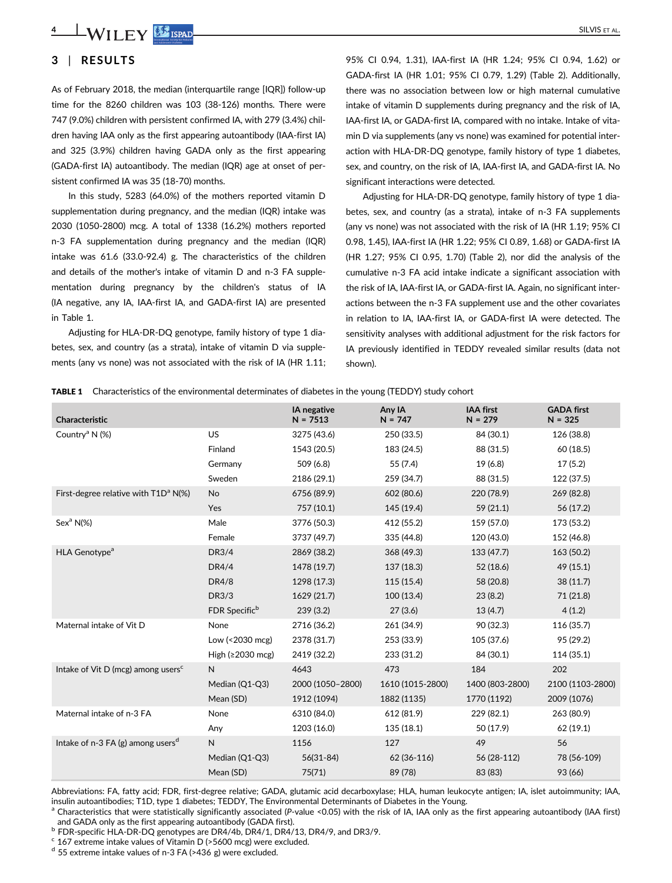4 | WILEY SISPAD SILVIS ET AL.

## 3 | RESULTS

As of February 2018, the median (interquartile range [IQR]) follow-up time for the 8260 children was 103 (38-126) months. There were 747 (9.0%) children with persistent confirmed IA, with 279 (3.4%) children having IAA only as the first appearing autoantibody (IAA-first IA) and 325 (3.9%) children having GADA only as the first appearing (GADA-first IA) autoantibody. The median (IQR) age at onset of persistent confirmed IA was 35 (18-70) months.

In this study, 5283 (64.0%) of the mothers reported vitamin D supplementation during pregnancy, and the median (IQR) intake was 2030 (1050-2800) mcg. A total of 1338 (16.2%) mothers reported n-3 FA supplementation during pregnancy and the median (IQR) intake was 61.6 (33.0-92.4) g. The characteristics of the children and details of the mother's intake of vitamin D and n-3 FA supplementation during pregnancy by the children's status of IA (IA negative, any IA, IAA-first IA, and GADA-first IA) are presented in Table 1.

Adjusting for HLA-DR-DQ genotype, family history of type 1 diabetes, sex, and country (as a strata), intake of vitamin D via supplements (any vs none) was not associated with the risk of IA (HR 1.11; 95% CI 0.94, 1.31), IAA-first IA (HR 1.24; 95% CI 0.94, 1.62) or GADA-first IA (HR 1.01; 95% CI 0.79, 1.29) (Table 2). Additionally, there was no association between low or high maternal cumulative intake of vitamin D supplements during pregnancy and the risk of IA, IAA-first IA, or GADA-first IA, compared with no intake. Intake of vitamin D via supplements (any vs none) was examined for potential interaction with HLA-DR-DQ genotype, family history of type 1 diabetes, sex, and country, on the risk of IA, IAA-first IA, and GADA-first IA. No significant interactions were detected.

Adjusting for HLA-DR-DQ genotype, family history of type 1 diabetes, sex, and country (as a strata), intake of n-3 FA supplements (any vs none) was not associated with the risk of IA (HR 1.19; 95% CI 0.98, 1.45), IAA-first IA (HR 1.22; 95% CI 0.89, 1.68) or GADA-first IA (HR 1.27; 95% CI 0.95, 1.70) (Table 2), nor did the analysis of the cumulative n-3 FA acid intake indicate a significant association with the risk of IA, IAA-first IA, or GADA-first IA. Again, no significant interactions between the n-3 FA supplement use and the other covariates in relation to IA, IAA-first IA, or GADA-first IA were detected. The sensitivity analyses with additional adjustment for the risk factors for IA previously identified in TEDDY revealed similar results (data not shown).

|  | <b>TABLE 1</b> Characteristics of the environmental determinates of diabetes in the young (TEDDY) study cohort |  |  |  |  |  |  |
|--|----------------------------------------------------------------------------------------------------------------|--|--|--|--|--|--|
|--|----------------------------------------------------------------------------------------------------------------|--|--|--|--|--|--|

| Characteristic                                   |                           | <b>IA</b> negative<br>$N = 7513$ | Any IA<br>$N = 747$ | <b>IAA first</b><br>$N = 279$ | <b>GADA first</b><br>$N = 325$ |
|--------------------------------------------------|---------------------------|----------------------------------|---------------------|-------------------------------|--------------------------------|
| Country <sup>a</sup> N (%)                       | US                        | 3275 (43.6)                      | 250 (33.5)          | 84 (30.1)                     | 126 (38.8)                     |
|                                                  | Finland                   | 1543 (20.5)                      | 183 (24.5)          | 88 (31.5)                     | 60 (18.5)                      |
|                                                  | Germany                   | 509 (6.8)                        | 55 (7.4)            | 19 (6.8)                      | 17(5.2)                        |
|                                                  | Sweden                    | 2186 (29.1)                      | 259 (34.7)          | 88 (31.5)                     | 122 (37.5)                     |
| First-degree relative with T1D <sup>a</sup> N(%) | <b>No</b>                 | 6756 (89.9)                      | 602 (80.6)          | 220 (78.9)                    | 269 (82.8)                     |
|                                                  | Yes                       | 757 (10.1)                       | 145 (19.4)          | 59 (21.1)                     | 56 (17.2)                      |
| Sex <sup>a</sup> N(%                             | Male                      | 3776 (50.3)                      | 412 (55.2)          | 159 (57.0)                    | 173 (53.2)                     |
|                                                  | Female                    | 3737 (49.7)                      | 335 (44.8)          | 120 (43.0)                    | 152 (46.8)                     |
| HLA Genotype <sup>a</sup>                        | DR3/4                     | 2869 (38.2)                      | 368 (49.3)          | 133 (47.7)                    | 163 (50.2)                     |
|                                                  | <b>DR4/4</b>              | 1478 (19.7)                      | 137 (18.3)          | 52 (18.6)                     | 49 (15.1)                      |
|                                                  | <b>DR4/8</b>              | 1298 (17.3)                      | 115(15.4)           | 58 (20.8)                     | 38 (11.7)                      |
|                                                  | <b>DR3/3</b>              | 1629 (21.7)                      | 100(13.4)           | 23(8.2)                       | 71 (21.8)                      |
|                                                  | FDR Specific <sup>b</sup> | 239(3.2)                         | 27(3.6)             | 13(4.7)                       | 4(1.2)                         |
| Maternal intake of Vit D                         | None                      | 2716 (36.2)                      | 261 (34.9)          | 90 (32.3)                     | 116 (35.7)                     |
|                                                  | Low (<2030 mcg)           | 2378 (31.7)                      | 253 (33.9)          | 105 (37.6)                    | 95 (29.2)                      |
|                                                  | High $(≥2030$ mcg)        | 2419 (32.2)                      | 233 (31.2)          | 84 (30.1)                     | 114 (35.1)                     |
| Intake of Vit D (mcg) among users <sup>c</sup>   | $\mathsf{N}$              | 4643                             | 473                 | 184                           | 202                            |
|                                                  | Median (Q1-Q3)            | 2000 (1050-2800)                 | 1610 (1015-2800)    | 1400 (803-2800)               | 2100 (1103-2800)               |
|                                                  | Mean (SD)                 | 1912 (1094)                      | 1882 (1135)         | 1770 (1192)                   | 2009 (1076)                    |
| Maternal intake of n-3 FA                        | None                      | 6310 (84.0)                      | 612 (81.9)          | 229 (82.1)                    | 263 (80.9)                     |
|                                                  | Any                       | 1203 (16.0)                      | 135 (18.1)          | 50 (17.9)                     | 62 (19.1)                      |
| Intake of n-3 FA $(g)$ among users <sup>d</sup>  | $\mathsf{N}$              | 1156                             | 127                 | 49                            | 56                             |
|                                                  | Median (Q1-Q3)            | $56(31-84)$                      | 62 (36-116)         | 56 (28-112)                   | 78 (56-109)                    |
|                                                  | Mean (SD)                 | 75(71)                           | 89 (78)             | 83 (83)                       | 93 (66)                        |
|                                                  |                           |                                  |                     |                               |                                |

Abbreviations: FA, fatty acid; FDR, first-degree relative; GADA, glutamic acid decarboxylase; HLA, human leukocyte antigen; IA, islet autoimmunity; IAA, insulin autoantibodies; T1D, type 1 diabetes; TEDDY, The Environmental Determinants of Diabetes in the Young.

 $a$  Characteristics that were statistically significantly associated (P-value <0.05) with the risk of IA, IAA only as the first appearing autoantibody (IAA first) and GADA only as the first appearing autoantibody (GADA first).

b FDR-specific HLA-DR-DQ genotypes are DR4/4b, DR4/1, DR4/13, DR4/9, and DR3/9.

 $\degree$  167 extreme intake values of Vitamin D (>5600 mcg) were excluded.

 $d$  55 extreme intake values of n-3 FA (>436 g) were excluded.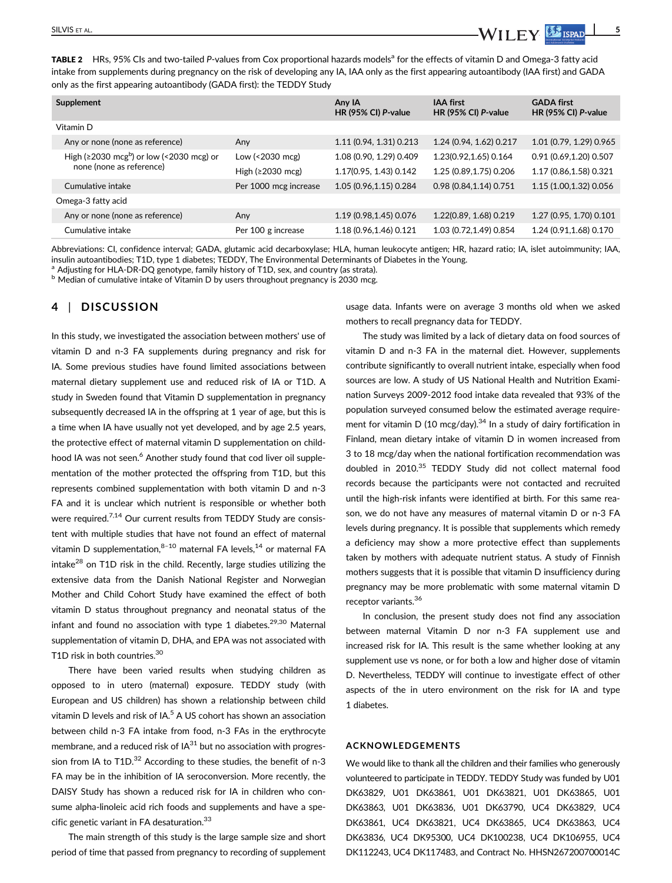TABLE 2 HRs, 95% CIs and two-tailed P-values from Cox proportional hazards models<sup>a</sup> for the effects of vitamin D and Omega-3 fatty acid intake from supplements during pregnancy on the risk of developing any IA, IAA only as the first appearing autoantibody (IAA first) and GADA only as the first appearing autoantibody (GADA first): the TEDDY Study

| Supplement                                                  |                       | Any IA<br>HR (95% CI) P-value | <b>IAA first</b><br>HR (95% CI) $P$ -value | <b>GADA first</b><br>HR (95% CI) P-value |
|-------------------------------------------------------------|-----------------------|-------------------------------|--------------------------------------------|------------------------------------------|
| Vitamin D                                                   |                       |                               |                                            |                                          |
| Any or none (none as reference)                             | Any                   | 1.11 (0.94, 1.31) 0.213       | 1.24 (0.94, 1.62) 0.217                    | 1.01 (0.79, 1.29) 0.965                  |
| High ( $\geq$ 2030 mcg <sup>b</sup> ) or low (<2030 mcg) or | Low (<2030 mcg)       | 1.08 (0.90, 1.29) 0.409       | 1.23(0.92,1.65) 0.164                      | 0.91(0.69, 1.20)0.507                    |
| none (none as reference)                                    | High $(≥2030$ mcg)    | 1.17(0.95, 1.43) 0.142        | 1.25 (0.89,1.75) 0.206                     | 1.17 (0.86,1.58) 0.321                   |
| Cumulative intake                                           | Per 1000 mcg increase | 1.05 (0.96,1.15) 0.284        | 0.98(0.84, 1.14)0.751                      | 1.15 (1.00,1.32) 0.056                   |
| Omega-3 fatty acid                                          |                       |                               |                                            |                                          |
| Any or none (none as reference)                             | Any                   | 1.19 (0.98,1.45) 0.076        | 1.22(0.89, 1.68) 0.219                     | 1.27 (0.95, 1.70) 0.101                  |
| Cumulative intake                                           | Per 100 g increase    | 1.18 (0.96,1.46) 0.121        | 1.03 (0.72,1.49) 0.854                     | 1.24 (0.91,1.68) 0.170                   |

Abbreviations: CI, confidence interval; GADA, glutamic acid decarboxylase; HLA, human leukocyte antigen; HR, hazard ratio; IA, islet autoimmunity; IAA, insulin autoantibodies; T1D, type 1 diabetes; TEDDY, The Environmental Determinants of Diabetes in the Young.

Adjusting for HLA-DR-DQ genotype, family history of T1D, sex, and country (as strata). **b** Median of cumulative intake of Vitamin D by users throughout pregnancy is 2030 mcg.

### 4 | DISCUSSION

In this study, we investigated the association between mothers' use of vitamin D and n-3 FA supplements during pregnancy and risk for IA. Some previous studies have found limited associations between maternal dietary supplement use and reduced risk of IA or T1D. A study in Sweden found that Vitamin D supplementation in pregnancy subsequently decreased IA in the offspring at 1 year of age, but this is a time when IA have usually not yet developed, and by age 2.5 years, the protective effect of maternal vitamin D supplementation on childhood IA was not seen.<sup>6</sup> Another study found that cod liver oil supplementation of the mother protected the offspring from T1D, but this represents combined supplementation with both vitamin D and n-3 FA and it is unclear which nutrient is responsible or whether both were required.<sup>7,14</sup> Our current results from TEDDY Study are consistent with multiple studies that have not found an effect of maternal vitamin D supplementation, $8-10$  maternal FA levels, $14$  or maternal FA intake<sup>28</sup> on T1D risk in the child. Recently, large studies utilizing the extensive data from the Danish National Register and Norwegian Mother and Child Cohort Study have examined the effect of both vitamin D status throughout pregnancy and neonatal status of the infant and found no association with type 1 diabetes.<sup>29,30</sup> Maternal supplementation of vitamin D, DHA, and EPA was not associated with T1D risk in both countries.<sup>30</sup>

There have been varied results when studying children as opposed to in utero (maternal) exposure. TEDDY study (with European and US children) has shown a relationship between child vitamin D levels and risk of IA. $<sup>5</sup>$  A US cohort has shown an association</sup> between child n-3 FA intake from food, n-3 FAs in the erythrocyte membrane, and a reduced risk of  $IA^{31}$  but no association with progression from IA to  $T1D^{32}$  According to these studies, the benefit of n-3 FA may be in the inhibition of IA seroconversion. More recently, the DAISY Study has shown a reduced risk for IA in children who consume alpha-linoleic acid rich foods and supplements and have a specific genetic variant in FA desaturation.<sup>33</sup>

The main strength of this study is the large sample size and short period of time that passed from pregnancy to recording of supplement usage data. Infants were on average 3 months old when we asked mothers to recall pregnancy data for TEDDY.

The study was limited by a lack of dietary data on food sources of vitamin D and n-3 FA in the maternal diet. However, supplements contribute significantly to overall nutrient intake, especially when food sources are low. A study of US National Health and Nutrition Examination Surveys 2009-2012 food intake data revealed that 93% of the population surveyed consumed below the estimated average requirement for vitamin D (10 mcg/day). $34$  In a study of dairy fortification in Finland, mean dietary intake of vitamin D in women increased from 3 to 18 mcg/day when the national fortification recommendation was doubled in 2010.<sup>35</sup> TEDDY Study did not collect maternal food records because the participants were not contacted and recruited until the high-risk infants were identified at birth. For this same reason, we do not have any measures of maternal vitamin D or n-3 FA levels during pregnancy. It is possible that supplements which remedy a deficiency may show a more protective effect than supplements taken by mothers with adequate nutrient status. A study of Finnish mothers suggests that it is possible that vitamin D insufficiency during pregnancy may be more problematic with some maternal vitamin D receptor variants.<sup>36</sup>

In conclusion, the present study does not find any association between maternal Vitamin D nor n-3 FA supplement use and increased risk for IA. This result is the same whether looking at any supplement use vs none, or for both a low and higher dose of vitamin D. Nevertheless, TEDDY will continue to investigate effect of other aspects of the in utero environment on the risk for IA and type 1 diabetes.

#### ACKNOWLEDGEMENTS

We would like to thank all the children and their families who generously volunteered to participate in TEDDY. TEDDY Study was funded by U01 DK63829, U01 DK63861, U01 DK63821, U01 DK63865, U01 DK63863, U01 DK63836, U01 DK63790, UC4 DK63829, UC4 DK63861, UC4 DK63821, UC4 DK63865, UC4 DK63863, UC4 DK63836, UC4 DK95300, UC4 DK100238, UC4 DK106955, UC4 DK112243, UC4 DK117483, and Contract No. HHSN267200700014C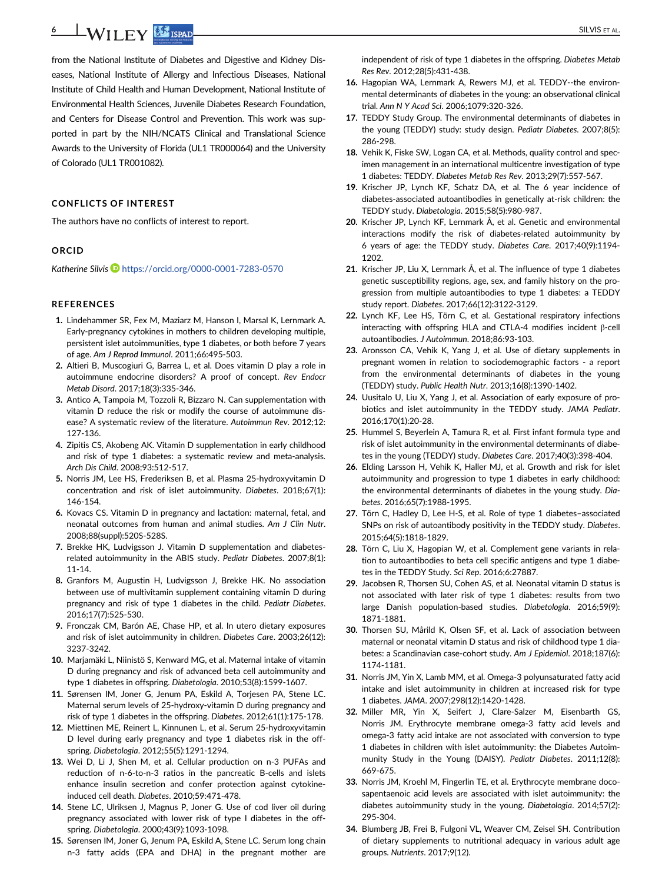from the National Institute of Diabetes and Digestive and Kidney Diseases, National Institute of Allergy and Infectious Diseases, National Institute of Child Health and Human Development, National Institute of Environmental Health Sciences, Juvenile Diabetes Research Foundation, and Centers for Disease Control and Prevention. This work was supported in part by the NIH/NCATS Clinical and Translational Science Awards to the University of Florida (UL1 TR000064) and the University of Colorado (UL1 TR001082).

#### CONFLICTS OF INTEREST

The authors have no conflicts of interest to report.

#### ORCID

Katherine Silvis D<https://orcid.org/0000-0001-7283-0570>

#### **REFERENCES**

- 1. Lindehammer SR, Fex M, Maziarz M, Hanson I, Marsal K, Lernmark A. Early-pregnancy cytokines in mothers to children developing multiple, persistent islet autoimmunities, type 1 diabetes, or both before 7 years of age. Am J Reprod Immunol. 2011;66:495-503.
- 2. Altieri B, Muscogiuri G, Barrea L, et al. Does vitamin D play a role in autoimmune endocrine disorders? A proof of concept. Rev Endocr Metab Disord. 2017;18(3):335-346.
- 3. Antico A, Tampoia M, Tozzoli R, Bizzaro N. Can supplementation with vitamin D reduce the risk or modify the course of autoimmune disease? A systematic review of the literature. Autoimmun Rev. 2012;12: 127-136.
- 4. Zipitis CS, Akobeng AK. Vitamin D supplementation in early childhood and risk of type 1 diabetes: a systematic review and meta-analysis. Arch Dis Child. 2008;93:512-517.
- 5. Norris JM, Lee HS, Frederiksen B, et al. Plasma 25-hydroxyvitamin D concentration and risk of islet autoimmunity. Diabetes. 2018;67(1): 146-154.
- 6. Kovacs CS. Vitamin D in pregnancy and lactation: maternal, fetal, and neonatal outcomes from human and animal studies. Am J Clin Nutr. 2008;88(suppl):520S-528S.
- 7. Brekke HK, Ludvigsson J. Vitamin D supplementation and diabetesrelated autoimmunity in the ABIS study. Pediatr Diabetes. 2007;8(1): 11-14.
- 8. Granfors M, Augustin H, Ludvigsson J, Brekke HK. No association between use of multivitamin supplement containing vitamin D during pregnancy and risk of type 1 diabetes in the child. Pediatr Diabetes. 2016;17(7):525-530.
- 9. Fronczak CM, Barón AE, Chase HP, et al. In utero dietary exposures and risk of islet autoimmunity in children. Diabetes Care. 2003;26(12): 3237-3242.
- 10. Marjamäki L, Niinistö S, Kenward MG, et al. Maternal intake of vitamin D during pregnancy and risk of advanced beta cell autoimmunity and type 1 diabetes in offspring. Diabetologia. 2010;53(8):1599-1607.
- 11. Sørensen IM, Joner G, Jenum PA, Eskild A, Torjesen PA, Stene LC. Maternal serum levels of 25-hydroxy-vitamin D during pregnancy and risk of type 1 diabetes in the offspring. Diabetes. 2012;61(1):175-178.
- 12. Miettinen ME, Reinert L, Kinnunen L, et al. Serum 25-hydroxyvitamin D level during early pregnancy and type 1 diabetes risk in the offspring. Diabetologia. 2012;55(5):1291-1294.
- 13. Wei D, Li J, Shen M, et al. Cellular production on n-3 PUFAs and reduction of n-6-to-n-3 ratios in the pancreatic B-cells and islets enhance insulin secretion and confer protection against cytokineinduced cell death. Diabetes. 2010;59:471-478.
- 14. Stene LC, Ulriksen J, Magnus P, Joner G. Use of cod liver oil during pregnancy associated with lower risk of type I diabetes in the offspring. Diabetologia. 2000;43(9):1093-1098.
- 15. Sørensen IM, Joner G, Jenum PA, Eskild A, Stene LC. Serum long chain n-3 fatty acids (EPA and DHA) in the pregnant mother are

independent of risk of type 1 diabetes in the offspring. Diabetes Metab Res Rev. 2012;28(5):431-438.

- 16. Hagopian WA, Lernmark A, Rewers MJ, et al. TEDDY--the environmental determinants of diabetes in the young: an observational clinical trial. Ann N Y Acad Sci. 2006;1079:320-326.
- 17. TEDDY Study Group. The environmental determinants of diabetes in the young (TEDDY) study: study design. Pediatr Diabetes. 2007;8(5): 286-298.
- 18. Vehik K, Fiske SW, Logan CA, et al. Methods, quality control and specimen management in an international multicentre investigation of type 1 diabetes: TEDDY. Diabetes Metab Res Rev. 2013;29(7):557-567.
- 19. Krischer JP, Lynch KF, Schatz DA, et al. The 6 year incidence of diabetes-associated autoantibodies in genetically at-risk children: the TEDDY study. Diabetologia. 2015;58(5):980-987.
- 20. Krischer JP, Lynch KF, Lernmark Å, et al. Genetic and environmental interactions modify the risk of diabetes-related autoimmunity by 6 years of age: the TEDDY study. Diabetes Care. 2017;40(9):1194- 1202.
- 21. Krischer JP, Liu X, Lernmark Å, et al. The influence of type 1 diabetes genetic susceptibility regions, age, sex, and family history on the progression from multiple autoantibodies to type 1 diabetes: a TEDDY study report. Diabetes. 2017;66(12):3122-3129.
- 22. Lynch KF, Lee HS, Törn C, et al. Gestational respiratory infections interacting with offspring HLA and CTLA-4 modifies incident β-cell autoantibodies. J Autoimmun. 2018;86:93-103.
- 23. Aronsson CA, Vehik K, Yang J, et al. Use of dietary supplements in pregnant women in relation to sociodemographic factors - a report from the environmental determinants of diabetes in the young (TEDDY) study. Public Health Nutr. 2013;16(8):1390-1402.
- 24. Uusitalo U, Liu X, Yang J, et al. Association of early exposure of probiotics and islet autoimmunity in the TEDDY study. JAMA Pediatr. 2016;170(1):20-28.
- 25. Hummel S, Beyerlein A, Tamura R, et al. First infant formula type and risk of islet autoimmunity in the environmental determinants of diabetes in the young (TEDDY) study. Diabetes Care. 2017;40(3):398-404.
- 26. Elding Larsson H, Vehik K, Haller MJ, et al. Growth and risk for islet autoimmunity and progression to type 1 diabetes in early childhood: the environmental determinants of diabetes in the young study. Diabetes. 2016;65(7):1988-1995.
- 27. Törn C, Hadley D, Lee H-S, et al. Role of type 1 diabetes–associated SNPs on risk of autoantibody positivity in the TEDDY study. Diabetes. 2015;64(5):1818-1829.
- 28. Törn C, Liu X, Hagopian W, et al. Complement gene variants in relation to autoantibodies to beta cell specific antigens and type 1 diabetes in the TEDDY Study. Sci Rep. 2016;6:27887.
- 29. Jacobsen R, Thorsen SU, Cohen AS, et al. Neonatal vitamin D status is not associated with later risk of type 1 diabetes: results from two large Danish population-based studies. Diabetologia. 2016;59(9): 1871-1881.
- 30. Thorsen SU, Mårild K, Olsen SF, et al. Lack of association between maternal or neonatal vitamin D status and risk of childhood type 1 diabetes: a Scandinavian case-cohort study. Am J Epidemiol. 2018;187(6): 1174-1181.
- 31. Norris JM, Yin X, Lamb MM, et al. Omega-3 polyunsaturated fatty acid intake and islet autoimmunity in children at increased risk for type 1 diabetes. JAMA. 2007;298(12):1420-1428.
- 32. Miller MR, Yin X, Seifert J, Clare-Salzer M, Eisenbarth GS, Norris JM. Erythrocyte membrane omega-3 fatty acid levels and omega-3 fatty acid intake are not associated with conversion to type 1 diabetes in children with islet autoimmunity: the Diabetes Autoimmunity Study in the Young (DAISY). Pediatr Diabetes. 2011;12(8): 669-675.
- 33. Norris JM, Kroehl M, Fingerlin TE, et al. Erythrocyte membrane docosapentaenoic acid levels are associated with islet autoimmunity: the diabetes autoimmunity study in the young. Diabetologia. 2014;57(2): 295-304.
- 34. Blumberg JB, Frei B, Fulgoni VL, Weaver CM, Zeisel SH. Contribution of dietary supplements to nutritional adequacy in various adult age groups. Nutrients. 2017;9(12).